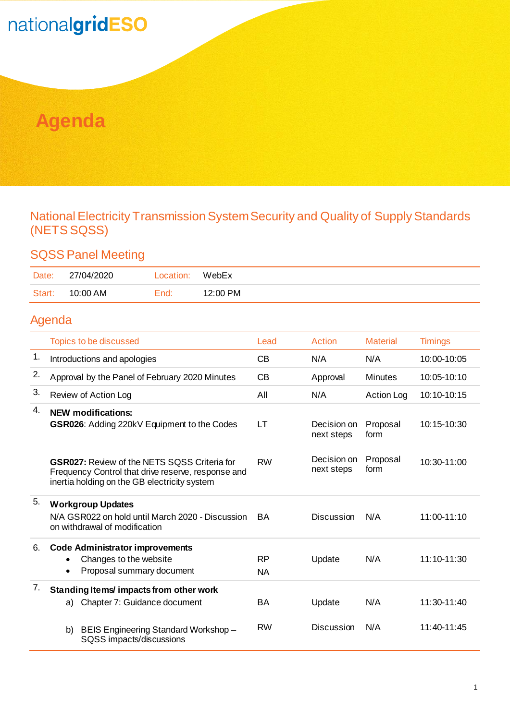## nationalgridESO

## **Agenda**

#### National Electricity Transmission System Security and Quality of Supply Standards (NETS SQSS)

#### SQSS Panel Meeting

| Date:  | 27/04/2020 | Location: | WebEx    |
|--------|------------|-----------|----------|
| Start: | 10:00 AM   | End:      | 12:00 PM |

#### Agenda

|    | Topics to be discussed                                                                                                                                    | Lead                   | Action                    | <b>Material</b>   | <b>Timings</b> |
|----|-----------------------------------------------------------------------------------------------------------------------------------------------------------|------------------------|---------------------------|-------------------|----------------|
| 1. | Introductions and apologies                                                                                                                               | CB                     | N/A                       | N/A               | 10:00-10:05    |
| 2. | Approval by the Panel of February 2020 Minutes                                                                                                            | CB                     | Approval                  | <b>Minutes</b>    | $10:05-10:10$  |
| 3. | Review of Action Log                                                                                                                                      | All                    | N/A                       | <b>Action Log</b> | 10:10-10:15    |
| 4. | <b>NEW modifications:</b><br><b>GSR026:</b> Adding 220kV Equipment to the Codes                                                                           | LT                     | Decision on<br>next steps | Proposal<br>form  | 10:15-10:30    |
|    | <b>GSR027: Review of the NETS SQSS Criteria for</b><br>Frequency Control that drive reserve, response and<br>inertia holding on the GB electricity system | <b>RW</b>              | Decision on<br>next steps | Proposal<br>form  | 10:30-11:00    |
| 5. | <b>Workgroup Updates</b><br>N/A GSR022 on hold until March 2020 - Discussion<br>on withdrawal of modification                                             | BA.                    | <b>Discussion</b>         | N/A               | 11:00-11:10    |
| 6. | <b>Code Administrator improvements</b>                                                                                                                    |                        |                           |                   |                |
|    | Changes to the website<br>Proposal summary document<br>$\bullet$                                                                                          | <b>RP</b><br><b>NA</b> | Update                    | N/A               | 11:10-11:30    |
| 7. | Standing Items/impacts from other work                                                                                                                    |                        |                           |                   |                |
|    | Chapter 7: Guidance document<br>a)                                                                                                                        | <b>BA</b>              | Update                    | N/A               | 11:30-11:40    |
|    | BEIS Engineering Standard Workshop -<br>b)<br>SQSS impacts/discussions                                                                                    | <b>RW</b>              | <b>Discussion</b>         | N/A               | $11:40-11:45$  |